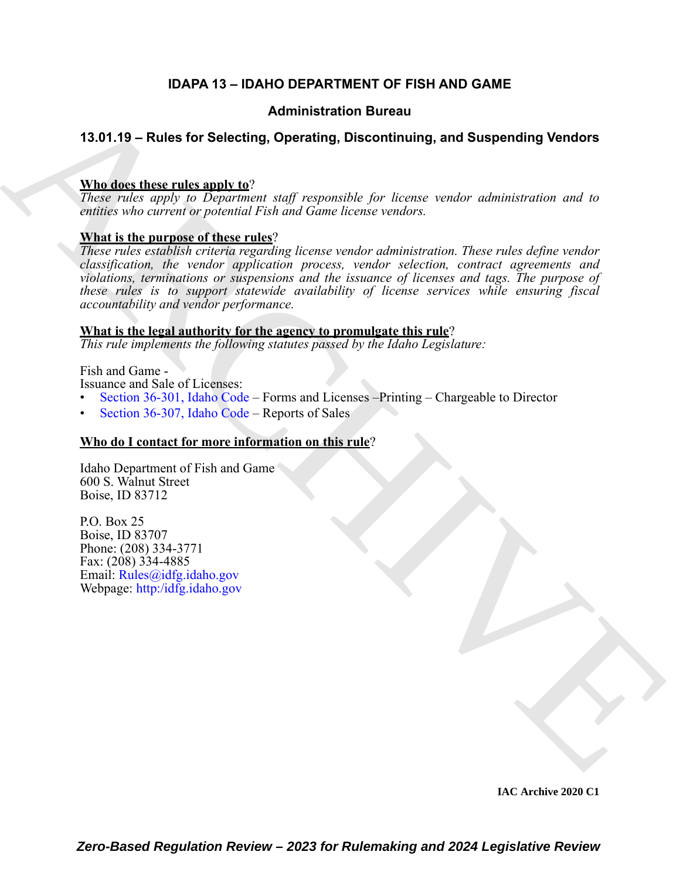# **IDAPA 13 – IDAHO DEPARTMENT OF FISH AND GAME**

# **Administration Bureau**

# **13.01.19 – Rules for Selecting, Operating, Discontinuing, and Suspending Vendors**

## **Who does these rules apply to**?

*These rules apply to Department staff responsible for license vendor administration and to entities who current or potential Fish and Game license vendors.*

### **What is the purpose of these rules**?

Administration Bureau<br>
13.01.19 – Rules for Selecting, Operating, Discontinuing, and Suspending Vendors<br>
These reduces agents to Program and Theorem and the reduces in the selection of the control of the control of the co *These rules establish criteria regarding license vendor administration. These rules define vendor classification, the vendor application process, vendor selection, contract agreements and violations, terminations or suspensions and the issuance of licenses and tags. The purpose of these rules is to support statewide availability of license services while ensuring fiscal accountability and vendor performance.*

### **What is the legal authority for the agency to promulgate this rule**?

*This rule implements the following statutes passed by the Idaho Legislature:*

Fish and Game -

Issuance and Sale of Licenses:

- Section 36-301, Idaho Code Forms and Licenses –Printing Chargeable to Director
- Section 36-307, Idaho Code Reports of Sales

## **Who do I contact for more information on this rule**?

Idaho Department of Fish and Game 600 S. Walnut Street Boise, ID 83712

P.O. Box 25 Boise, ID 83707 Phone: (208) 334-3771 Fax: (208) 334-4885 Email: Rules@idfg.idaho.gov Webpage: http:/idfg.idaho.gov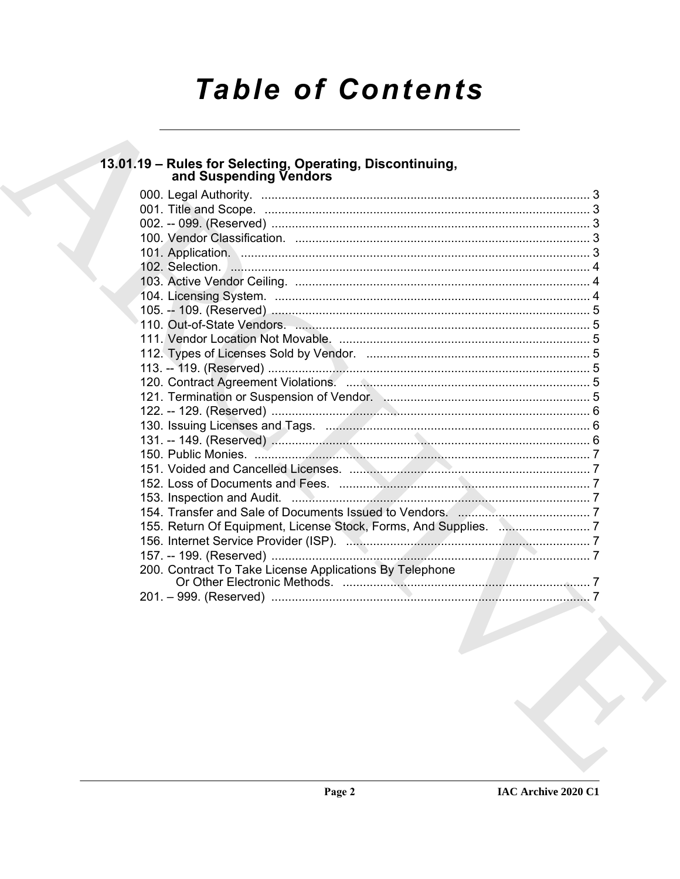# **Table of Contents**

# 13.01.19 - Rules for Selecting, Operating, Discontinuing,<br>and Suspending Vendors

| 121. Termination or Suspension of Vendor. Manual Communication and 5                                            |  |
|-----------------------------------------------------------------------------------------------------------------|--|
|                                                                                                                 |  |
|                                                                                                                 |  |
|                                                                                                                 |  |
|                                                                                                                 |  |
|                                                                                                                 |  |
|                                                                                                                 |  |
|                                                                                                                 |  |
|                                                                                                                 |  |
|                                                                                                                 |  |
|                                                                                                                 |  |
|                                                                                                                 |  |
| 200. Contract To Take License Applications By Telephone                                                         |  |
|                                                                                                                 |  |
| the contract of the contract of the contract of the contract of the contract of the contract of the contract of |  |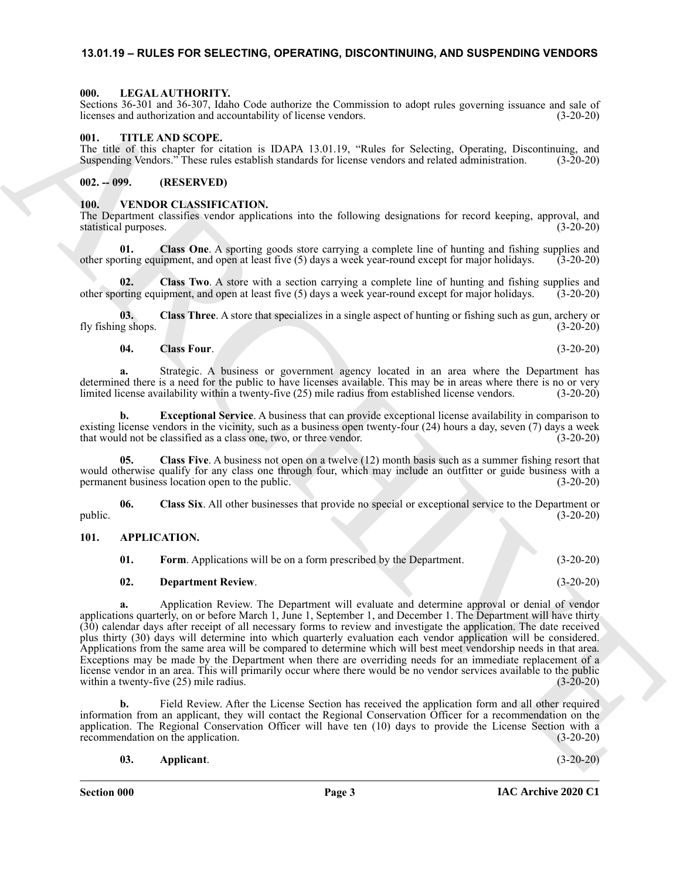#### <span id="page-2-0"></span>**13.01.19 – RULES FOR SELECTING, OPERATING, DISCONTINUING, AND SUSPENDING VENDORS**

#### <span id="page-2-10"></span><span id="page-2-1"></span>**000. LEGAL AUTHORITY.**

Sections 36-301 and 36-307, Idaho Code authorize the Commission to adopt rules governing issuance and sale of licenses and authorization and accountability of license vendors. (3-20-20)

#### <span id="page-2-11"></span><span id="page-2-2"></span>**001. TITLE AND SCOPE.**

The title of this chapter for citation is IDAPA 13.01.19, "Rules for Selecting, Operating, Discontinuing, and Suspending Vendors." These rules establish standards for license vendors and related administration. (3-20-20)

#### <span id="page-2-3"></span>**002. -- 099. (RESERVED)**

#### <span id="page-2-12"></span><span id="page-2-4"></span>**100. VENDOR CLASSIFICATION.**

The Department classifies vendor applications into the following designations for record keeping, approval, and statistical purposes. (3-20-20)

<span id="page-2-15"></span>**01. Class One**. A sporting goods store carrying a complete line of hunting and fishing supplies and other sporting equipment, and open at least five (5) days a week year-round except for major holidays. (3-20-20)

<span id="page-2-18"></span>**02.** Class Two. A store with a section carrying a complete line of hunting and fishing supplies and orting equipment, and open at least five (5) days a week year-round except for major holidays. (3-20-20) other sporting equipment, and open at least five (5) days a week year-round except for major holidays.

**03. Class Three**. A store that specializes in a single aspect of hunting or fishing such as gun, archery or fly fishing shops. (3-20-20)

#### <span id="page-2-19"></span><span id="page-2-17"></span><span id="page-2-14"></span>**04. Class Four**. (3-20-20)

**a.** Strategic. A business or government agency located in an area where the Department has determined there is a need for the public to have licenses available. This may be in areas where there is no or very limited license availability within a twenty-five (25) mile radius from established license vendors. (3-20-20)

**b. Exceptional Service**. A business that can provide exceptional license availability in comparison to existing license vendors in the vicinity, such as a business open twenty-four (24) hours a day, seven (7) days a week that would not be classified as a class one, two, or three vendor. (34)  $(3-20-20)$ that would not be classified as a class one, two, or three vendor.

<span id="page-2-13"></span>**05. Class Five**. A business not open on a twelve (12) month basis such as a summer fishing resort that would otherwise qualify for any class one through four, which may include an outfitter or guide business with a permanent business location open to the public. (3-20-20)

**06. Class Six**. All other businesses that provide no special or exceptional service to the Department or public. (3-20-20)

#### <span id="page-2-5"></span>**101. APPLICATION.**

<span id="page-2-16"></span><span id="page-2-9"></span><span id="page-2-6"></span>**01. Form**. Applications will be on a form prescribed by the Department. (3-20-20)

#### <span id="page-2-8"></span>**02. Department Review**. (3-20-20)

Scotter Solo and About 200 and About 200 and About 200 and Contribute the Contribute Control and About 200 and About 200 and About 200 and About 200 and About 200 and About 200 and About 200 and About 200 and About 200 an **a.** Application Review. The Department will evaluate and determine approval or denial of vendor applications quarterly, on or before March 1, June 1, September 1, and December 1. The Department will have thirty (30) calendar days after receipt of all necessary forms to review and investigate the application. The date received plus thirty (30) days will determine into which quarterly evaluation each vendor application will be considered. Applications from the same area will be compared to determine which will best meet vendorship needs in that area. Exceptions may be made by the Department when there are overriding needs for an immediate replacement of a license vendor in an area. This will primarily occur where there would be no vendor services available to the public within a twenty-five (25) mile radius. (3-20-20)

**b.** Field Review. After the License Section has received the application form and all other required information from an applicant, they will contact the Regional Conservation Officer for a recommendation on the application. The Regional Conservation Officer will have ten (10) days to provide the License Section with a recommendation on the application. (3-20-20)

<span id="page-2-7"></span>**03. Applicant**. (3-20-20)

**IAC Archive 2020 C1**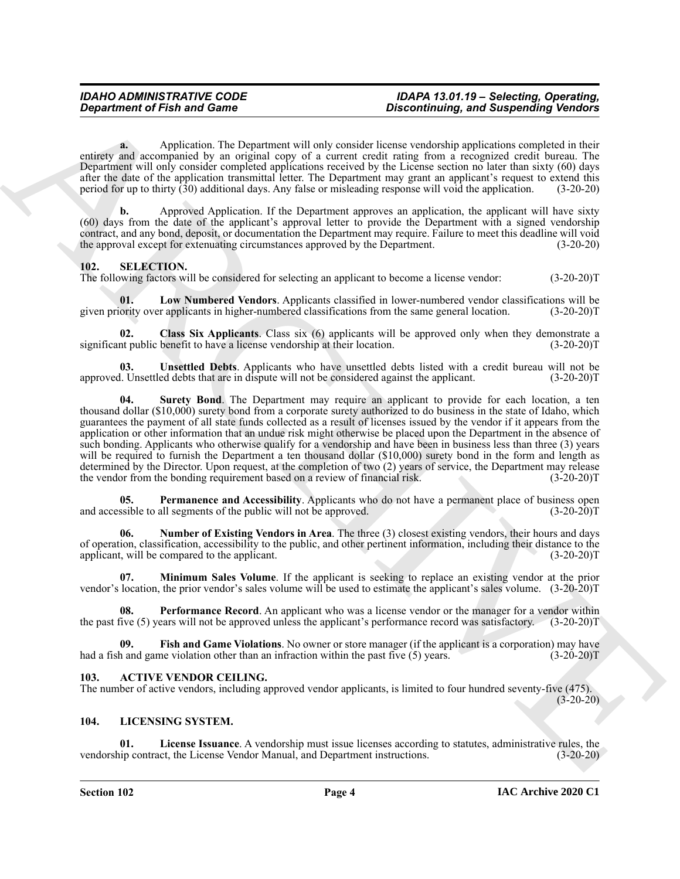#### *IDAHO ADMINISTRATIVE CODE IDAPA 13.01.19 – Selecting, Operating,* **Discontinuing, and Suspending Vendors**

**a.** Application. The Department will only consider license vendorship applications completed in their entirety and accompanied by an original copy of a current credit rating from a recognized credit bureau. The Department will only consider completed applications received by the License section no later than sixty (60) days after the date of the application transmittal letter. The Department may grant an applicant's request to extend this period for up to thirty (30) additional days. Any false or misleading response will void the application. (3-20-20)

**b.** Approved Application. If the Department approves an application, the applicant will have sixty (60) days from the date of the applicant's approval letter to provide the Department with a signed vendorship contract, and any bond, deposit, or documentation the Department may require. Failure to meet this deadline will void the approval except for extenuating circumstances approved by the Department. (3-20-20)

### <span id="page-3-5"></span><span id="page-3-0"></span>**102. SELECTION.**

The following factors will be considered for selecting an applicant to become a license vendor: (3-20-20)T

<span id="page-3-8"></span>**Low Numbered Vendors**. Applicants classified in lower-numbered vendor classifications will be r applicants in higher-numbered classifications from the same general location. (3-20-20)T given priority over applicants in higher-numbered classifications from the same general location.

<span id="page-3-6"></span>**02. Class Six Applicants**. Class six (6) applicants will be approved only when they demonstrate a significant public benefit to have a license vendorship at their location. (3-20-20) (3-20-20) T

<span id="page-3-14"></span><span id="page-3-13"></span>**03.** Unsettled Debts. Applicants who have unsettled debts listed with a credit bureau will not be d. Unsettled debts that are in dispute will not be considered against the applicant. (3-20-20) approved. Unsettled debts that are in dispute will not be considered against the applicant.

*Construent of Fish and Game*<br> **Construent of Fish and Game**<br> **Construent The Department of distribution** the state of the state of the state of the state of the state of the state of the state of the state of the state **04. Surety Bond**. The Department may require an applicant to provide for each location, a ten thousand dollar (\$10,000) surety bond from a corporate surety authorized to do business in the state of Idaho, which guarantees the payment of all state funds collected as a result of licenses issued by the vendor if it appears from the application or other information that an undue risk might otherwise be placed upon the Department in the absence of such bonding. Applicants who otherwise qualify for a vendorship and have been in business less than three (3) years will be required to furnish the Department a ten thousand dollar (\$10,000) surety bond in the form and length as determined by the Director. Upon request, at the completion of two (2) years of service, the Department may release the vendor from the bonding requirement based on a review of financial risk. (3-20-20)T

<span id="page-3-12"></span>**05. Permanence and Accessibility**. Applicants who do not have a permanent place of business open ssible to all segments of the public will not be approved. (3-20-20) and accessible to all segments of the public will not be approved.

<span id="page-3-10"></span>**06. Number of Existing Vendors in Area**. The three (3) closest existing vendors, their hours and days of operation, classification, accessibility to the public, and other pertinent information, including their distance to the applicant, will be compared to the applicant. (3-20-20)T

<span id="page-3-9"></span>**07. Minimum Sales Volume**. If the applicant is seeking to replace an existing vendor at the prior vendor's location, the prior vendor's sales volume will be used to estimate the applicant's sales volume. (3-20-20)T

<span id="page-3-11"></span>**08.** Performance Record. An applicant who was a license vendor or the manager for a vendor within the past five (5) years will not be approved unless the applicant's performance record was satisfactory. (3-20-20)T

<span id="page-3-7"></span>**Fish and Game Violations**. No owner or store manager (if the applicant is a corporation) may have had a fish and game violation other than an infraction within the past five (5) years. (3-20-20)T

### <span id="page-3-3"></span><span id="page-3-1"></span>**103. ACTIVE VENDOR CEILING.**

The number of active vendors, including approved vendor applicants, is limited to four hundred seventy-five (475).

 $(3-20-20)$ 

### <span id="page-3-4"></span><span id="page-3-2"></span>**104. LICENSING SYSTEM.**

**01. License Issuance**. A vendorship must issue licenses according to statutes, administrative rules, the vendorship contract, the License Vendor Manual, and Department instructions. (3-20-20)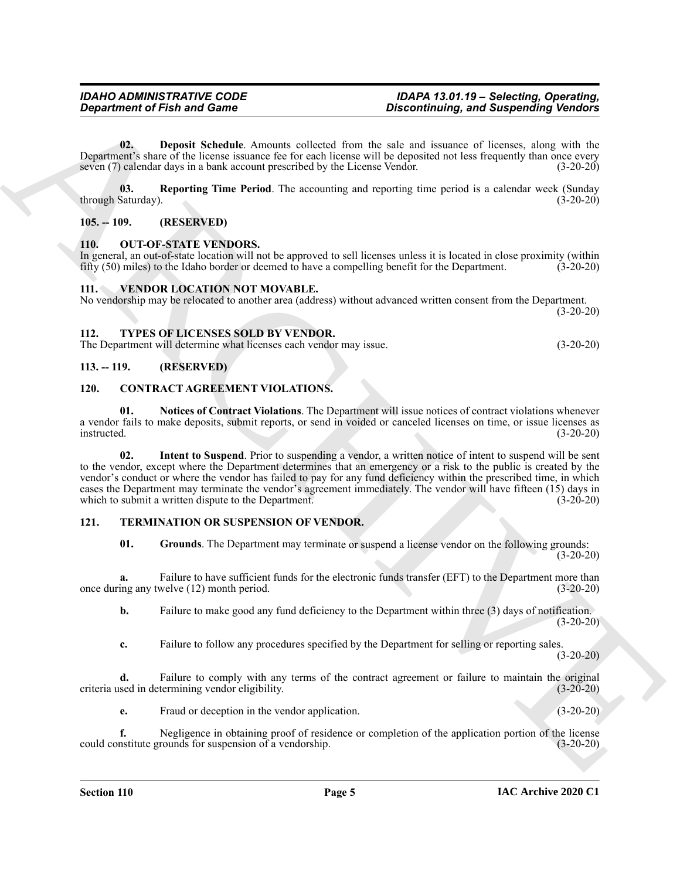<span id="page-4-10"></span>**02. Deposit Schedule**. Amounts collected from the sale and issuance of licenses, along with the Department's share of the license issuance fee for each license will be deposited not less frequently than once every seven (7) calendar days in a bank account prescribed by the License Vendor. (3-20-20) seven (7) calendar days in a bank account prescribed by the License Vendor.

<span id="page-4-11"></span>**03.** Reporting Time Period. The accounting and reporting time period is a calendar week (Sunday). (3-20-20) through Saturday).

#### <span id="page-4-0"></span>**105. -- 109. (RESERVED)**

#### <span id="page-4-12"></span><span id="page-4-1"></span>**110. OUT-OF-STATE VENDORS.**

In general, an out-of-state location will not be approved to sell licenses unless it is located in close proximity (within fifty (50) miles) to the Idaho border or deemed to have a compelling benefit for the Department. (3 fifty (50) miles) to the Idaho border or deemed to have a compelling benefit for the Department.

#### <span id="page-4-15"></span><span id="page-4-2"></span>**111. VENDOR LOCATION NOT MOVABLE.**

No vendorship may be relocated to another area (address) without advanced written consent from the Department. (3-20-20)

#### <span id="page-4-14"></span><span id="page-4-3"></span>**112. TYPES OF LICENSES SOLD BY VENDOR.**

The Department will determine what licenses each vendor may issue. (3-20-20)

#### <span id="page-4-4"></span>**113. -- 119. (RESERVED)**

#### <span id="page-4-9"></span><span id="page-4-7"></span><span id="page-4-5"></span>**120. CONTRACT AGREEMENT VIOLATIONS.**

<span id="page-4-8"></span>**01. Notices of Contract Violations**. The Department will issue notices of contract violations whenever a vendor fails to make deposits, submit reports, or send in voided or canceled licenses on time, or issue licenses as instructed. (3-20-20) instructed. (3-20-20)

**Opportment of Fish and Game**<br> **Discussions of Fish and Game**<br> **Discussions of Fish and Games**<br>
The mean of the state Archives of Fish and Extend the state and state and the state of Fish and Sections 2008 and Sections 20 **02. Intent to Suspend**. Prior to suspending a vendor, a written notice of intent to suspend will be sent to the vendor, except where the Department determines that an emergency or a risk to the public is created by the vendor's conduct or where the vendor has failed to pay for any fund deficiency within the prescribed time, in which cases the Department may terminate the vendor's agreement immediately. The vendor will have fifteen (15) days in which to submit a written dispute to the Department. (3-20-20)

### <span id="page-4-6"></span>**121. TERMINATION OR SUSPENSION OF VENDOR.**

<span id="page-4-13"></span>**01. Grounds**. The Department may terminate or suspend a license vendor on the following grounds:  $(3-20-20)$ 

**a.** Failure to have sufficient funds for the electronic funds transfer (EFT) to the Department more than once during any twelve (12) month period. (3-20-20)

**b.** Failure to make good any fund deficiency to the Department within three (3) days of notification.  $(3-20-20)$ 

**c.** Failure to follow any procedures specified by the Department for selling or reporting sales.

 $(3-20-20)$ 

**d.** Failure to comply with any terms of the contract agreement or failure to maintain the original criteria used in determining vendor eligibility. (3-20-20)

**e.** Fraud or deception in the vendor application. (3-20-20)

**f.** Negligence in obtaining proof of residence or completion of the application portion of the license nstitute grounds for suspension of a vendorship. (3-20-20) could constitute grounds for suspension of a vendorship.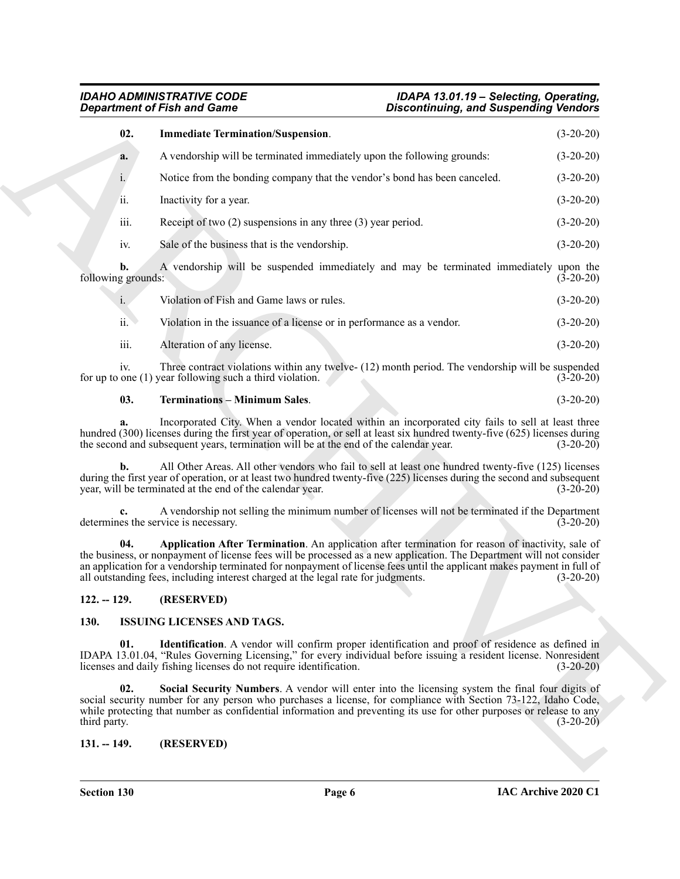#### *IDAHO ADMINISTRATIVE CODE IDAPA 13.01.19 – Selecting, Operating, Department of Fish and Game Discontinuing, and Suspending Vendors*

|                          | <b>Department of Fish and Game</b>                                                                                                                                                                                                                                                                                                                                                                                                       | <b>Discontinuing, and Suspending Vendors</b> |
|--------------------------|------------------------------------------------------------------------------------------------------------------------------------------------------------------------------------------------------------------------------------------------------------------------------------------------------------------------------------------------------------------------------------------------------------------------------------------|----------------------------------------------|
| 02.                      | <b>Immediate Termination/Suspension.</b>                                                                                                                                                                                                                                                                                                                                                                                                 | $(3-20-20)$                                  |
| a.                       | A vendorship will be terminated immediately upon the following grounds:                                                                                                                                                                                                                                                                                                                                                                  | $(3-20-20)$                                  |
| i.                       | Notice from the bonding company that the vendor's bond has been canceled.                                                                                                                                                                                                                                                                                                                                                                | $(3-20-20)$                                  |
| ii.                      | Inactivity for a year.                                                                                                                                                                                                                                                                                                                                                                                                                   | $(3-20-20)$                                  |
| iii.                     | Receipt of two $(2)$ suspensions in any three $(3)$ year period.                                                                                                                                                                                                                                                                                                                                                                         | $(3-20-20)$                                  |
| iv.                      | Sale of the business that is the vendorship.                                                                                                                                                                                                                                                                                                                                                                                             | $(3-20-20)$                                  |
| b.<br>following grounds: | A vendorship will be suspended immediately and may be terminated immediately upon the                                                                                                                                                                                                                                                                                                                                                    | $(3-20-20)$                                  |
| i.                       | Violation of Fish and Game laws or rules.                                                                                                                                                                                                                                                                                                                                                                                                | $(3-20-20)$                                  |
| ii.                      | Violation in the issuance of a license or in performance as a vendor.                                                                                                                                                                                                                                                                                                                                                                    | $(3-20-20)$                                  |
| iii.                     | Alteration of any license.                                                                                                                                                                                                                                                                                                                                                                                                               | $(3-20-20)$                                  |
| iv.                      | Three contract violations within any twelve- (12) month period. The vendorship will be suspended<br>for up to one $(1)$ year following such a third violation.                                                                                                                                                                                                                                                                           | $(3-20-20)$                                  |
| 03.                      | <b>Terminations - Minimum Sales.</b>                                                                                                                                                                                                                                                                                                                                                                                                     | $(3-20-20)$                                  |
| a.                       | Incorporated City. When a vendor located within an incorporated city fails to sell at least three<br>hundred (300) licenses during the first year of operation, or sell at least six hundred twenty-five (625) licenses during<br>the second and subsequent years, termination will be at the end of the calendar year.                                                                                                                  | $(3-20-20)$                                  |
| b.                       | All Other Areas. All other vendors who fail to sell at least one hundred twenty-five (125) licenses<br>during the first year of operation, or at least two hundred twenty-five (225) licenses during the second and subsequent<br>year, will be terminated at the end of the calendar year.                                                                                                                                              | $(3-20-20)$                                  |
|                          | A vendorship not selling the minimum number of licenses will not be terminated if the Department<br>determines the service is necessary.                                                                                                                                                                                                                                                                                                 | $(3-20-20)$                                  |
| 04.                      | Application After Termination. An application after termination for reason of inactivity, sale of<br>the business, or nonpayment of license fees will be processed as a new application. The Department will not consider<br>an application for a vendorship terminated for nonpayment of license fees until the applicant makes payment in full of<br>all outstanding fees, including interest charged at the legal rate for judgments. | $(3-20-20)$                                  |
|                          | 122. -- 129. (RESERVED)                                                                                                                                                                                                                                                                                                                                                                                                                  |                                              |
| 130.                     | <b>ISSUING LICENSES AND TAGS.</b>                                                                                                                                                                                                                                                                                                                                                                                                        |                                              |
| 01.                      | <b>Identification</b> . A vendor will confirm proper identification and proof of residence as defined in<br>IDAPA 13.01.04, "Rules Governing Licensing," for every individual before issuing a resident license. Nonresident<br>licenses and daily fishing licenses do not require identification.                                                                                                                                       | $(3-20-20)$                                  |
|                          | Social Security Numbers. A vendor will enter into the licensing system the final four digits of                                                                                                                                                                                                                                                                                                                                          |                                              |
| 02.<br>third party.      | social security number for any person who purchases a license, for compliance with Section 73-122, Idaho Code,<br>while protecting that number as confidential information and preventing its use for other purposes or release to any                                                                                                                                                                                                   | $(3-20-20)$                                  |

### **03. Terminations – Minimum Sales**. (3-20-20)

### <span id="page-5-0"></span>**122. -- 129. (RESERVED)**

### <span id="page-5-5"></span><span id="page-5-4"></span><span id="page-5-3"></span><span id="page-5-1"></span>**130. ISSUING LICENSES AND TAGS.**

### <span id="page-5-2"></span>**131. -- 149. (RESERVED)**

**Section 130 Page 6**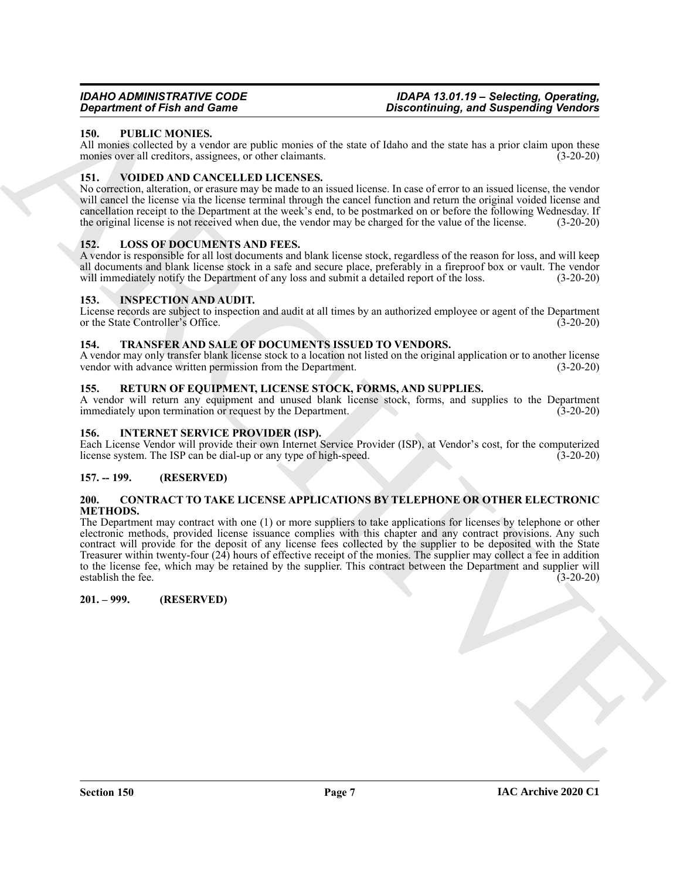#### *IDAHO ADMINISTRATIVE CODE IDAPA 13.01.19 – Selecting, Operating,* **Discontinuing, and Suspending Vendors**

### <span id="page-6-14"></span><span id="page-6-0"></span>**150. PUBLIC MONIES.**

All monies collected by a vendor are public monies of the state of Idaho and the state has a prior claim upon these monies over all creditors, assignees, or other claimants. (3-20-20)

#### <span id="page-6-17"></span><span id="page-6-1"></span>**151. VOIDED AND CANCELLED LICENSES.**

No correction, alteration, or erasure may be made to an issued license. In case of error to an issued license, the vendor will cancel the license via the license terminal through the cancel function and return the original voided license and cancellation receipt to the Department at the week's end, to be postmarked on or before the following Wednesday. If the original license is not received when due, the vendor may be charged for the value of the license. (3-20-20)

#### <span id="page-6-13"></span><span id="page-6-2"></span>**152. LOSS OF DOCUMENTS AND FEES.**

A vendor is responsible for all lost documents and blank license stock, regardless of the reason for loss, and will keep all documents and blank license stock in a safe and secure place, preferably in a fireproof box or vault. The vendor will immediately notify the Department of any loss and submit a detailed report of the loss.  $(3-20-20)$ 

#### <span id="page-6-11"></span><span id="page-6-3"></span>**153. INSPECTION AND AUDIT.**

License records are subject to inspection and audit at all times by an authorized employee or agent of the Department or the State Controller's Office. (3-20-20)

#### <span id="page-6-16"></span><span id="page-6-4"></span>**154. TRANSFER AND SALE OF DOCUMENTS ISSUED TO VENDORS.**

A vendor may only transfer blank license stock to a location not listed on the original application or to another license vendor with advance written permission from the Department. (3-20-20) vendor with advance written permission from the Department.

#### <span id="page-6-15"></span><span id="page-6-5"></span>**155. RETURN OF EQUIPMENT, LICENSE STOCK, FORMS, AND SUPPLIES.**

A vendor will return any equipment and unused blank license stock, forms, and supplies to the Department immediately upon termination or request by the Department. (3-20-20) immediately upon termination or request by the Department.

#### <span id="page-6-12"></span><span id="page-6-6"></span>**156. INTERNET SERVICE PROVIDER (ISP).**

Each License Vendor will provide their own Internet Service Provider (ISP), at Vendor's cost, for the computerized license system. The ISP can be dial-up or any type of high-speed. (3-20-20)

### <span id="page-6-7"></span>**157. -- 199. (RESERVED)**

#### <span id="page-6-10"></span><span id="page-6-8"></span>**200. CONTRACT TO TAKE LICENSE APPLICATIONS BY TELEPHONE OR OTHER ELECTRONIC METHODS.**

**Example the final of the spin state of the spin state of the spin state and the spin state of the spin state of the spin state of the spin state of the spin state of the spin state of the spin state of the spin state of** The Department may contract with one (1) or more suppliers to take applications for licenses by telephone or other electronic methods, provided license issuance complies with this chapter and any contract provisions. Any such contract will provide for the deposit of any license fees collected by the supplier to be deposited with the State Treasurer within twenty-four (24) hours of effective receipt of the monies. The supplier may collect a fee in addition to the license fee, which may be retained by the supplier. This contract between the Department and supplier will establish the fee. (3-20-20)

<span id="page-6-9"></span>**201. – 999. (RESERVED)**